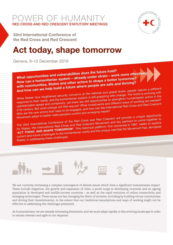OWER OF HUMANI RED CROSS AND RED CRESCENT STATUTORY MEETINGS



33rd International Conference of the Red Cross and Red Crescent

# Act today, shape tomorrow

Geneva, 9–12 December 2019



What opportunities and vulnerabilities does the future hold? How can a humanitarian system – already under strain – work more effectively with communities, States and other actors to shape a better tomorrow? And how can we help build a future where people are safe and thriving?

While States face heightened security concerns at the national and global levels, people require a different response to their needs, and the humanitarian system is still grappling with change. The world is evolving with unpredictable speed and complexity, yet there are still opportunities to strengthen humanitarian action in the 21st century. But what change will this require? What investments and different ways of working are needed? Who are the new actors that need to be engaged, and how can the International Red Cross and Red Crescent Movement adapt to better meet people's current and emerging needs?

The 33rd International Conference of the Red Cross and Red Crescent will provide a unique opportunity for States, the International Red Cross and Red Crescent Movement and key partners to come together to Tor Oracco, the international rise of Social Red of Social Meteorials are not present as a 1867, seeks to explore 'ACT TODAY, AND SHAPE TOMORROW'. This historical platform, first convened in 1867, seeks to explore current and future challenges to the humanitarian world and the unique role that the Movement has, alongside

States, in addressing these challenges.



We are currently witnessing a complex convergence of diverse issues which have a significant humanitarian impact. These include migration, the growth and expansion of cities, a youth surge in developing countries and an ageing population in developed and middle-income countries – as well as the rapid evolution of online connectivity and emerging technologies. These issues are fast changing the fabric of societies, including by building virtual communities and driving their transformation, to the extent that our traditional assumptions and ways of working might not be effective in addressing the challenges presented.

As humanitarians, we are already witnessing limitations, and we must adapt rapidly to this evolving landscape in order to remain relevant and agile in our response.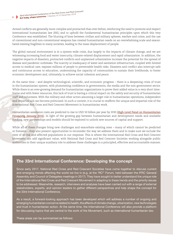Armed conflicts are generally more complex and protracted than ever before, reinforcing the need to promote and respect international humanitarian law (IHL) and to uphold the fundamental humanitarian principles upon which this very Conference was established. The blurring of lines between civilian and military spheres, warfare and crime, and the use of conventional and non-conventional weapons has created humanitarian needs on an overwhelming scale and exacerbated existing fragilities in many societies, leading to the mass displacement of people.

The global natural environment is in a system-wide crisis, due largely to the impacts of climate change, and we are witnessing increasing food and water insecurity, climate-related displacement and rapid urbanization. In addition, the negative impacts of disasters, protracted conflicts and unplanned urbanization increase the potential for the spread of disease and pandemic outbreaks. The scarcity or inadequacy of water and sanitation infrastructure, coupled with limited access to medical care, exposes millions of people to preventable health risks. Disasters and conflict also interrupt safe and continuous access to education, undermining the capacity of communities to sustain their livelihoods, to foster economic development and, ultimately, to achieve social cohesion and peace.

At the same time – and despite technological, scientific, and economic progress – there is a deepening crisis of trust in the humanitarian system, with plummeting confidence in governments, the media and the non-government sector. While there is an ever-growing demand for humanitarian organizations to prove their added value in a very short timeframe and with fewer resources, this lack of trust is having a critical impact on the safety and security of humanitarian staff and volunteers. With the military and other actors assuming a larger role in humanitarian operations, independent and impartial aid can become politicized. In such a context, it is crucial to reaffirm the unique and impartial role of the International Red Cross and Red Crescent Movement in humanitarian work.

Humanitarian assistance costs are predicted to rise to USD 50 billion per year by 2030 ([High-Level Panel on Humanitarian](https://reliefweb.int/sites/reliefweb.int/files/resources/%5BHLP%20Report%5D%20Too%20important%20to%20fail%E2%80%94addressing%20the%20humanitarian%20financing%20gap.pdf) [Financing, January 2016](https://reliefweb.int/sites/reliefweb.int/files/resources/%5BHLP%20Report%5D%20Too%20important%20to%20fail%E2%80%94addressing%20the%20humanitarian%20financing%20gap.pdf)). In light of the growing gap between humanitarian and development needs and available funding, new partnerships and models should be explored to unlock new sources of capital and support.

While all of these changes bring new challenges and exacerbate existing ones – many of which cannot be predicted or foreseen – they also present opportunities to reconsider the way we address them and to make sure we include the view of at-risk and affected populations in our response. This is where the International Red Cross and Red Crescent Movement can add significant value, with National Red Cross and Red Crescent Societies working alongside public authorities in their unique auxiliary role to address these challenges in a principled, effective and accountable manner.

#### The 33rd International Conference: Developing the concept

Since early 2017, National Red Cross and Red Crescent Societies have come together to discuss current and emerging trends affecting the world we live in (e.g. at the 'RC<sup>2</sup>' Forum, held between the IFRC General Assembly and Council of Delegates meetings in 2017). They have sought to better understand the unique role of the International Red Cross and Red Crescent Movement in adapting to these trends and the priority issues to be addressed. Meanwhile, research, interviews and analyses have been carried out with a range of external stakeholders, experts, and opinion leaders to gather different perspectives and help shape the concept for the 33rd International Conference.

As a result, a forward-looking approach has been developed which will address a number of ongoing and emerging humanitarian concerns related to health, the effects of climate change, urbanization, new technologies and trust in humanitarian action. At the same time, the International Conference will also provide a platform for discussing topics that are central to the work of the Movement, such as international humanitarian law.

These areas can be summarized as follows: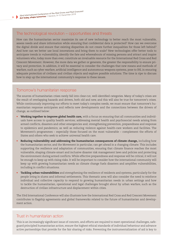#### The technological revolution – opportunities and threats

How can the humanitarian sector maximize its use of new technology to better reach the most vulnerable, assess needs and share information while ensuring that confidential data is protected? How can we overcome the digital divide and ensure that existing disparities do not create further inequalities for those left behind? And how can we better use local innovations and bring them to scale? New technologies offer better tools to anticipate trends in vulnerability, identify the fate and whereabouts of missing persons and attract and inspire volunteers who, today more than ever, constitute an invaluable resource for the International Red Cross and Red Crescent Movement. However, the more data we gather or generate, the greater the responsibility to ensure privacy and protection. In addition, it will be essential to consider the challenges that new means and methods of warfare, such as cyber warfare, artificial intelligence and autonomous weapons systems, pose to IHL in ensuring adequate protection of civilians and civilian objects and explore possible solutions. The time is ripe to discuss how to step up the international community's response to these issues.

#### Tomorrow's humanitarian response

The sources of humanitarian crises rarely fall into clear-cut, well-identified categories. Many of today's crises are the result of overlapping hazards and drivers, both old and new, and this will also be true for tomorrow's crises. While continuously improving our efforts to meet today's complex needs, we must ensure that tomorrow's humanitarian response anticipates and reflects new developments and the connections between the drivers of change, as outlined below:

- **• Working together to improve global health care,** with a focus on ensuring that all communities and individuals have access to quality health services; addressing mental health and psychosocial needs arising from armed conflicts, disasters and other emergencies and; strengthening prevention, preparedness and response to epidemics and pandemics; as well as reducing violence against health-care workers and facilities. The Movement's programmes – especially those focused on the most vulnerable – complement the efforts of States and others who seek to achieve universal health care.
- **• Reducing vulnerability and addressing the humanitarian consequences of climate change,** including how the humanitarian sector, and the Movement in particular, can get ahead in a changing climate. This includes supporting the resilience and adaptation of communities, ensuring that climate finance reaches the most vulnerable, shaping climate-smart and inclusive disaster risk management laws and policies and protecting the environment during armed conflicts. While effective preparedness and response will be critical, it will not be enough to keep up with rising risks. It will be important to consider how the international community will keep up with growing humanitarian needs as climate change fuels disasters and amplifies vulnerabilities, including in conflict situations.
- **• Tackling urban vulnerabilities** and strengthening the resilience of residents and systems, particularly for the people living in slums and informal settlements. This thematic area will also consider the need to reinforce individual and collective capacity to respond to growing humanitarian needs in urban settings and how to tackle the humanitarian, operational and legal challenges brought about by urban warfare, such as the destruction of civilian infrastructure and displacement within cities.

The 33rd International Conference will also illustrate how the International Red Cross and Red Crescent Movement contributes to flagship agreements and global frameworks related to the future of humanitarian and development action.

## Trust in humanitarian action

This is an increasingly significant issue of concern, and efforts are required to meet operational challenges, safeguard principled humanitarian action, ensure the highest ethical standards of individual behaviour and advance active partnerships that provide for the fair sharing of risks. Preventing the instrumentalization of aid is key to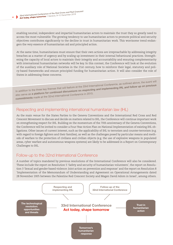enabling neutral, independent and impartial humanitarian actors to maintain the trust they so greatly need to access the most vulnerable. The growing tendency to use humanitarian actors to promote political and security objectives contributes significantly to the decline in trust in humanitarian work. This worrisome trend endangers the very essence of humanitarian aid and principled action.

At the same time, humanitarians must ensure that their own actions are irreproachable by addressing integrity breaches as a matter of urgency and by scaling up investment in their internal behavioural practices. Strengthening the capacity of local actors to maintain their integrity and accountability and ensuring complementarity with international humanitarian networks will be key. In this context, the Conference will look at the evolution of the auxiliary role of National Societies in the 21st century, how to reinforce their legal, statutory and policy-based frameworks and ensure principled funding for humanitarian action. It will also consider the role of States in addressing these concerns.

In addition to the three key themes that will feature at the 33rd International Conference, as outlined above, the event will also serve as a platform for continued discussions on respecting and implementing IHL and follow up on previous commitments made at the 32nd International Conference in 2015.

### Respecting and implementing international humanitarian law (IHL)

As the main venue for the States Parties to the Geneva Conventions and the International Red Cross and Red Crescent Movement to discuss and decide on matters related to IHL, the Conference will continue important work on strengthening respect for IHL. Building on the momentum of the 70th anniversary of the Geneva Conventions, the Conference will be invited to consider a Four-Year Action Plan on National Implementation of existing IHL obligations. Other issues of current interest, such as the applicability of IHL to terrorism and counter-terrorism (e.g. with regard to foreign fighters and their families), as well as the challenges posed by particular means and methods of warfare to the protection of civilians and civilian objects (e.g. the use of explosive weapons in populated areas, cyber warfare and autonomous weapons systems) are likely to be addressed in a Report on Contemporary Challenges to IHL.

## Follow-up to the 32nd International Conference

A number of topics mandated by previous resolutions of the International Conference will also be considered. These include the report on Resolution 5 'Safety and security of humanitarian volunteers', the report on Resolution 3 'Sexual and gender-based violence: Joint action on prevention and response' and the report on Resolution 8 'Implementation of the Memorandum of Understanding and Agreement on Operational Arrangements dated 28 November 2005 between the Palestine Red Crescent Society and Magen David Adom in Israel', among others.

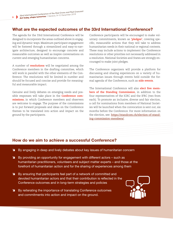## What are the expected outcomes of the 33rd International Conference?

The agenda for the 33rd International Conference will be designed to incorporate the areas outlined above in engaging and dynamic ways. Maximum participant engagement will be fostered through a streamlined and easy-to-navigate architecture, designed to encourage concrete and measurable outcomes as well as inspire conversations on current and emerging humanitarian concerns.

A number of **resolutions** will be negotiated among the Conference members in the drafting committee, which will work in parallel with the other elements of the Conference. The resolutions will be limited in number and should be focused and concise and provide for meaningful and measurable impact.

Genuine and lively debates on emerging needs and possible responses will take place in the **Conference commissions**, in which Conference members and observers are welcome to engage. The purpose of the commissions is to put forward proposals and ideas on the Conference themes to be translated into action and impact on the ground by the participants.

Conference participants will be encouraged to make voluntary commitments, known as **'pledges'**, covering specific, measurable actions that they will take to address humanitarian needs in their national or regional contexts. These may include actions to implement the Conference resolutions or other priorities not necessarily addressed in a resolution. National Societies and States are strongly encouraged to make joint pledges.

The Conference organizers will provide a platform for discussing and sharing experiences on a variety of humanitarian issues through events held outside the formal agenda of the Conference, such as **side events**.

The International Conference will also **elect five members of the Standing Commission**, in addition to the four representatives of the ICRC and the IFRC (two from each). To promote an inclusive, diverse and fair election, a call for nominations from members of National Societies will be launched when the convocation is sent out, six months before the Conference. For more information on the election, see: [https://standcom.ch/election-of-stand](https://standcom.ch/election-of-standing-commission-members/)[ing-commission-members/](https://standcom.ch/election-of-standing-commission-members/).

## How do we aim to achieve a successful Conference?

- î By engaging in deep and lively debates about key issues of humanitarian concern
- **I** By providing an opportunity for engagement with different actors such as humanitarian practitioners, volunteers and subject matter experts – and those at the forefront of humanitarian action and for the sharing of experiences among them
- **N** By ensuring that participants feel part of a network of committed and devoted humanitarian actors and that their contribution is reflected in the Conference outcomes and in long-term strategies and policies
- **I** By reiterating the importance of translating Conference outcomes and commitments into action and impact on the ground.

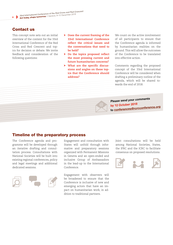## Contact us

This concept note sets out an initial overview of the content for the 33rd International Conference of the Red Cross and Red Crescent and topics for decision or debate. We invite feedback and consideration of the following questions:

- **Does the current framing of the 33rd International Conference reflect the critical issues and the conversations that need to be held?**
- **Do the topics proposed reflect the most pressing current and future humanitarian concerns?**
- **What are the specific discussions and angles on these topics that the Conference should address?**

We count on the active involvement of all participants to ensure that the Conference agenda is informed by humanitarian realities on the ground. This will allow the outcomes of the Conference to be translated into effective action.

Comments regarding the proposed concept of the 33rd International Conference will be considered when drafting a preliminary outline of the agenda, which will be shared towards the end of 2018.

## Please send your comments by 12 October 2018 to [conferences@rcrcconference.org](mailto:conferences%40rcrcconference.org?subject=)

## Timeline of the preparatory process

The Conference agenda and programme will be developed through an iterative drafting and consultation process. Consultations with National Societies will be built into existing regional conferences, policy and legal meetings and additional dedicated sessions.



Engagement and consultation with States will unfold through informative and preparatory sessions organized with Permanent Missions in Geneva and an open-ended and inclusive Group of Ambassadors in the lead-up to the International Conference.

Engagement with observers will be broadened to ensure that the Conference is inclusive of new and emerging actors that have an impact on humanitarian work, in addition to traditional partners.

Joint consultations will be held among National Societies, States, the IFRC and the ICRC to facilitate consensus on proposed resolutions.

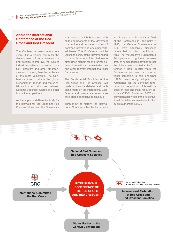#### About the International Conference of the Red Cross and Red Crescent

The Conference meets every four years. It is a leading forum for the development of legal frameworks and policies to improve the lives of individuals affected by armed conflict, disasters and other emergencies and to strengthen the resilience of the most vulnerable. The Conference aims to shape the global humanitarian agenda and foster relationships and alliances between National Societies, States and other humanitarian partners.

As the supreme deliberative body for the International Red Cross and Red Crescent Movement, the Conference

is an event at which States meet with all the components of the Movement to examine and decide on matters of common interest and any other related issues. The Conference contributes to the unity of the Movement and to the achievement of its mission – to strengthen respect for and further develop international humanitarian law and other relevant international legal frameworks.

The Fundamental Principles of the Red Cross and Red Crescent will guide and inspire debates and decisions made by the International Conference and provide a safe and creative space conducive to dialogue.

Throughout its history, the International Conference has had a remark-

able impact in the humanitarian field. At the Conference in Stockholm in 1948, the Geneva Conventions of 1949 were extensively discussed before their adoption the following year. The Movement's Fundamental Principles – which guide an immense array of humanitarian activities across the globe – were adopted at the Conference in 1965. In later years, the Conference promoted an international campaign to ban landmines (1995), unanimously adopted the 'Guidelines for the domestic facilitation and regulation of international disaster relief and initial recovery assistance' (IDRL Guidelines, 2007) and provided a definition of the role of National Societies as auxiliaries to their public authorities (2007).